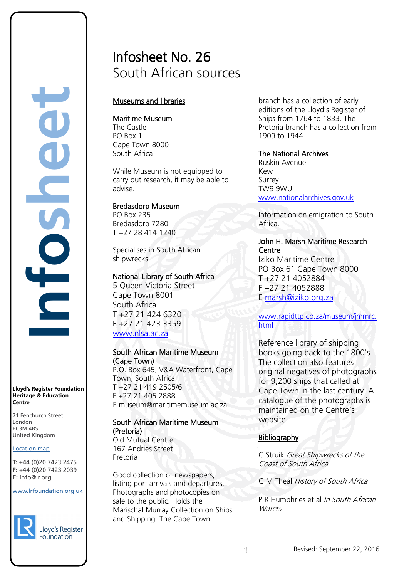# Infosheet No. 26 South African sources

# Museums and libraries

#### Maritime Museum

The Castle PO Box 1 Cape Town 8000 South Africa

While Museum is not equipped to carry out research, it may be able to advise.

### Bredasdorp Museum

PO Box 235 Bredasdorp 7280 T +27 28 414 1240

Specialises in South African shipwrecks.

### National Library of South Africa

5 Queen Victoria Street Cape Town 8001 South Africa T +27 21 424 6320 F +27 21 423 3359 [www.nlsa.ac.za](http://www.nlsa.ac.za/) 

#### South African Maritime Museum (Cape Town)

P.O. Box 645, V&A Waterfront, Cape Town, South Africa T +27 21 419 2505/6 F +27 21 405 2888 E museum@maritimemuseum.ac.za

# South African Maritime Museum (Pretoria)

Old Mutual Centre 167 Andries Street Pretoria

Good collection of newspapers, listing port arrivals and departures. Photographs and photocopies on sale to the public. Holds the Marischal Murray Collection on Ships and Shipping. The Cape Town

branch has a collection of early editions of the Lloyd's Register of Ships from 1764 to 1833. The Pretoria branch has a collection from 1909 to 1944.

### The National Archives

Ruskin Avenue Kew Surrey TW9 9WU [www.nationalarchives.gov.uk](http://www.nationalarchives.gov.uk/)

Information on emigration to South Africa.

## John H. Marsh Maritime Research **Centre**

Iziko Maritime Centre PO Box 61 Cape Town 8000 T +27 21 4052884 F +27 21 4052888 E [marsh@iziko.org.za](mailto:marsh@iziko.org.za)

[www.rapidttp.co.za/museum/jmmrc.](http://www.rapidttp.co.za/museum/jmmrc.html) [html](http://www.rapidttp.co.za/museum/jmmrc.html) 

Reference library of shipping books going back to the 1800's. The collection also features original negatives of photographs for 9,200 ships that called at Cape Town in the last century. A catalogue of the photographs is maintained on the Centre's website.

# **Bibliography**

C Struik Great Shipwrecks of the Coast of South Africa

G M Theal History of South Africa

P R Humphries et al In South African **Waters** 

#### **Lloyd's Register Foundation Heritage & Education Centre**

**Infosheet**

71 Fenchurch Street 7 Thematen Server<br>London EC3M 4BS United Kingdom

# Location map

T: +44 (0)20 7423 2475 **F:** +44 (0)20 7423 2039 Fax: +44 (0)20 7423 2039 **E:** info@lr.org  $E \rightarrow 0/20$   $1 + 23$  2033 rd's Register Foundat<br>
itage & Education<br>
tre<br>
Eenchurch Street<br>
don<br>
M 4BS<br>
ted Kingdom<br>
ation map<br>
44 (0)20 7423 2475<br>
44 (0)20 7423 2039<br>
mfo@lr.org

#### www.lrfoundation.org.uk